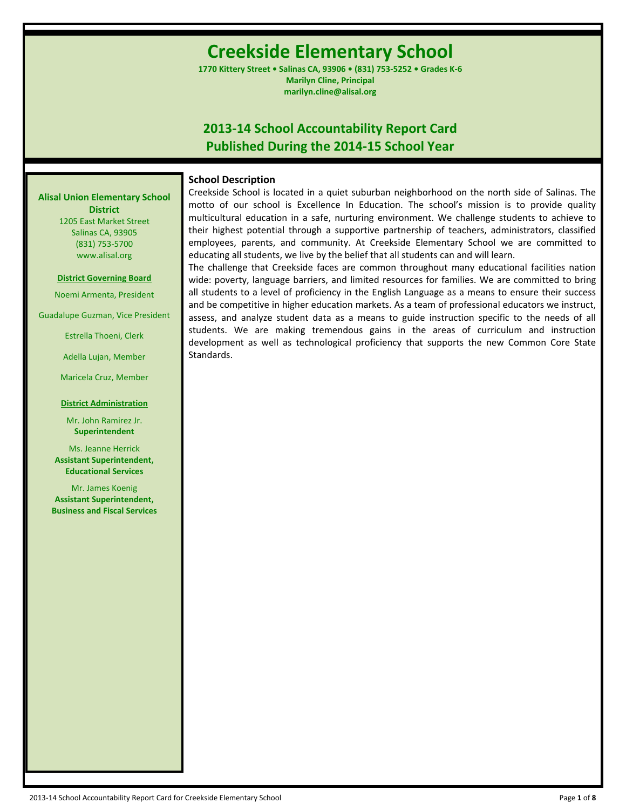# **Creekside Elementary School**

**1770 Kittery Street • Salinas CA, 93906 • (831) 753-5252 • Grades K-6 Marilyn Cline, Principal marilyn.cline@alisal.org**

## **2013-14 School Accountability Report Card Published During the 2014-15 School Year**

## **School Description**

**Alisal Union Elementary School District** 1205 East Market Street

Salinas CA, 93905 (831) 753-5700 www.alisal.org

**District Governing Board**

Noemi Armenta, President

Guadalupe Guzman, Vice President

Estrella Thoeni, Clerk

Adella Lujan, Member

Maricela Cruz, Member

#### **District Administration**

Mr. John Ramirez Jr. **Superintendent**

Ms. Jeanne Herrick **Assistant Superintendent, Educational Services**

Mr. James Koenig **Assistant Superintendent, Business and Fiscal Services** Creekside School is located in a quiet suburban neighborhood on the north side of Salinas. The motto of our school is Excellence In Education. The school's mission is to provide quality multicultural education in a safe, nurturing environment. We challenge students to achieve to their highest potential through a supportive partnership of teachers, administrators, classified employees, parents, and community. At Creekside Elementary School we are committed to educating all students, we live by the belief that all students can and will learn.

The challenge that Creekside faces are common throughout many educational facilities nation wide: poverty, language barriers, and limited resources for families. We are committed to bring all students to a level of proficiency in the English Language as a means to ensure their success and be competitive in higher education markets. As a team of professional educators we instruct, assess, and analyze student data as a means to guide instruction specific to the needs of all students. We are making tremendous gains in the areas of curriculum and instruction development as well as technological proficiency that supports the new Common Core State Standards.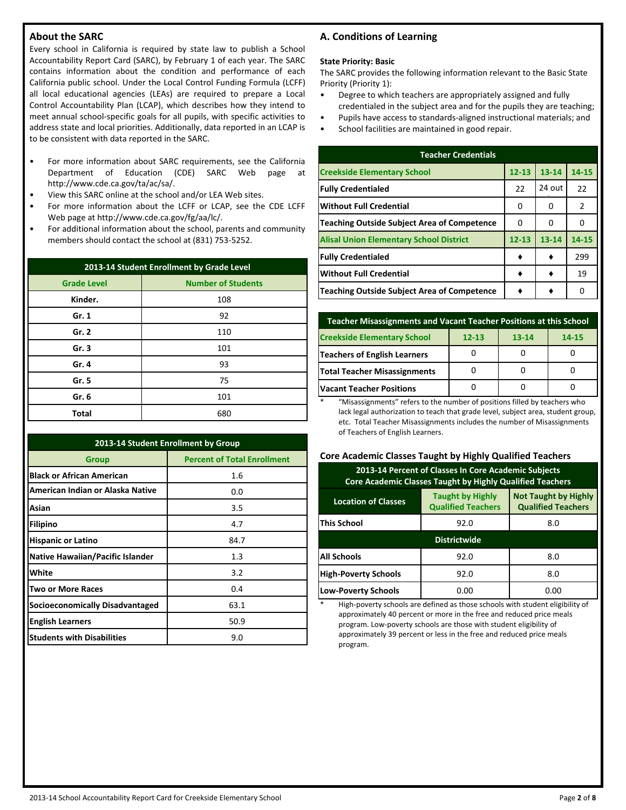## **About the SARC**

Every school in California is required by state law to publish a School Accountability Report Card (SARC), by February 1 of each year. The SARC contains information about the condition and performance of each California public school. Under the Local Control Funding Formula (LCFF) all local educational agencies (LEAs) are required to prepare a Local Control Accountability Plan (LCAP), which describes how they intend to meet annual school-specific goals for all pupils, with specific activities to address state and local priorities. Additionally, data reported in an LCAP is to be consistent with data reported in the SARC.

- For more information about SARC requirements, see the California Department of Education (CDE) SARC Web page at http://www.cde.ca.gov/ta/ac/sa/.
- View this SARC online at the school and/or LEA Web sites.
- For more information about the LCFF or LCAP, see the CDE LCFF Web page at http://www.cde.ca.gov/fg/aa/lc/.
- For additional information about the school, parents and community members should contact the school at (831) 753-5252.

| 2013-14 Student Enrollment by Grade Level       |     |  |  |  |  |
|-------------------------------------------------|-----|--|--|--|--|
| <b>Number of Students</b><br><b>Grade Level</b> |     |  |  |  |  |
| Kinder.                                         | 108 |  |  |  |  |
| Gr. 1                                           | 92  |  |  |  |  |
| Gr. 2                                           | 110 |  |  |  |  |
| Gr.3                                            | 101 |  |  |  |  |
| Gr. 4                                           | 93  |  |  |  |  |
| Gr. 5                                           | 75  |  |  |  |  |
| Gr. 6                                           | 101 |  |  |  |  |
| <b>Total</b>                                    | 680 |  |  |  |  |

| 2013-14 Student Enrollment by Group     |                                    |  |  |  |  |
|-----------------------------------------|------------------------------------|--|--|--|--|
| <b>Group</b>                            | <b>Percent of Total Enrollment</b> |  |  |  |  |
| <b>Black or African American</b>        | 1.6                                |  |  |  |  |
| American Indian or Alaska Native        | 0.0                                |  |  |  |  |
| Asian                                   | 3.5                                |  |  |  |  |
| <b>Filipino</b>                         | 4.7                                |  |  |  |  |
| <b>Hispanic or Latino</b>               | 84.7                               |  |  |  |  |
| <b>Native Hawaiian/Pacific Islander</b> | 1.3                                |  |  |  |  |
| White                                   | 3.2                                |  |  |  |  |
| <b>Two or More Races</b>                | 0.4                                |  |  |  |  |
| <b>Socioeconomically Disadvantaged</b>  | 63.1                               |  |  |  |  |
| <b>English Learners</b>                 | 50.9                               |  |  |  |  |
| <b>Students with Disabilities</b>       | 9.0                                |  |  |  |  |

## **A. Conditions of Learning**

### **State Priority: Basic**

The SARC provides the following information relevant to the Basic State Priority (Priority 1):

- Degree to which teachers are appropriately assigned and fully credentialed in the subject area and for the pupils they are teaching;
- Pupils have access to standards-aligned instructional materials; and
- School facilities are maintained in good repair.

| <b>Teacher Credentials</b>                         |           |           |       |  |  |  |  |
|----------------------------------------------------|-----------|-----------|-------|--|--|--|--|
| <b>Creekside Elementary School</b>                 | $12 - 13$ | $13 - 14$ | 14-15 |  |  |  |  |
| <b>Fully Credentialed</b>                          | 22        | 24 out    | 22    |  |  |  |  |
| <b>Without Full Credential</b>                     | 0         | 0         | 2     |  |  |  |  |
| <b>Teaching Outside Subject Area of Competence</b> | 0         | n         | O     |  |  |  |  |
| <b>Alisal Union Elementary School District</b>     | $12 - 13$ | $13 - 14$ | 14-15 |  |  |  |  |
| <b>Fully Credentialed</b>                          |           |           | 299   |  |  |  |  |
| <b>Without Full Credential</b>                     |           |           | 19    |  |  |  |  |
| Teaching Outside Subject Area of Competence        |           |           | O     |  |  |  |  |

| <b>Teacher Misassignments and Vacant Teacher Positions at this School</b> |           |       |       |  |  |  |  |
|---------------------------------------------------------------------------|-----------|-------|-------|--|--|--|--|
| <b>Creekside Elementary School</b>                                        | $12 - 13$ | 13-14 | 14-15 |  |  |  |  |
| <b>Teachers of English Learners</b>                                       |           |       |       |  |  |  |  |
| <b>Total Teacher Misassignments</b>                                       |           |       |       |  |  |  |  |
| <b>Vacant Teacher Positions</b>                                           |           |       |       |  |  |  |  |

\* "Misassignments" refers to the number of positions filled by teachers who lack legal authorization to teach that grade level, subject area, student group, etc. Total Teacher Misassignments includes the number of Misassignments of Teachers of English Learners.

## **Core Academic Classes Taught by Highly Qualified Teachers**

| 2013-14 Percent of Classes In Core Academic Subjects<br>Core Academic Classes Taught by Highly Qualified Teachers                              |             |      |  |  |  |  |
|------------------------------------------------------------------------------------------------------------------------------------------------|-------------|------|--|--|--|--|
| <b>Not Taught by Highly</b><br><b>Taught by Highly</b><br><b>Location of Classes</b><br><b>Qualified Teachers</b><br><b>Qualified Teachers</b> |             |      |  |  |  |  |
| <b>This School</b><br>92.0<br>8.0                                                                                                              |             |      |  |  |  |  |
| <b>Districtwide</b>                                                                                                                            |             |      |  |  |  |  |
| <b>All Schools</b>                                                                                                                             | 92.0<br>8.0 |      |  |  |  |  |
| <b>High-Poverty Schools</b><br>8.0<br>92.0                                                                                                     |             |      |  |  |  |  |
| <b>Low-Poverty Schools</b>                                                                                                                     | 0.00        | 0.00 |  |  |  |  |

High-poverty schools are defined as those schools with student eligibility of approximately 40 percent or more in the free and reduced price meals program. Low-poverty schools are those with student eligibility of approximately 39 percent or less in the free and reduced price meals program.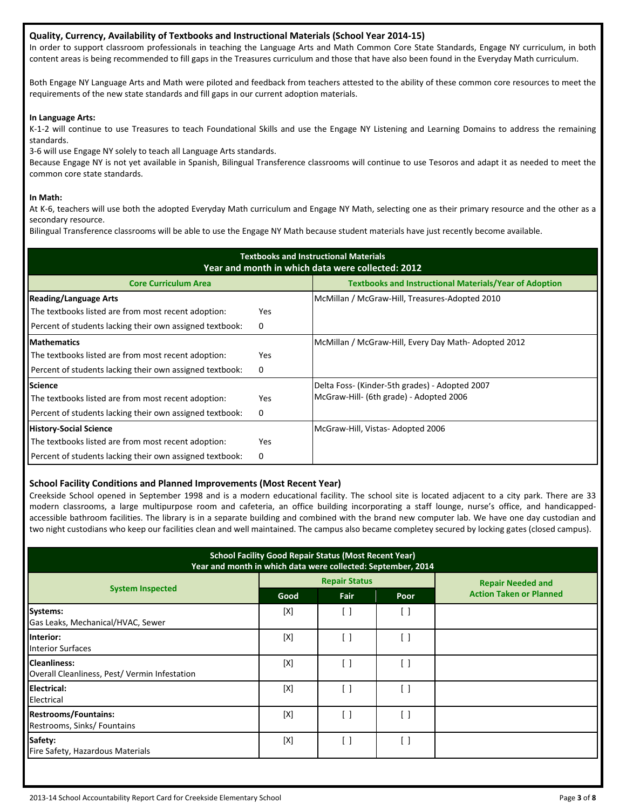## **Quality, Currency, Availability of Textbooks and Instructional Materials (School Year 2014-15)**

In order to support classroom professionals in teaching the Language Arts and Math Common Core State Standards, Engage NY curriculum, in both content areas is being recommended to fill gaps in the Treasures curriculum and those that have also been found in the Everyday Math curriculum.

Both Engage NY Language Arts and Math were piloted and feedback from teachers attested to the ability of these common core resources to meet the requirements of the new state standards and fill gaps in our current adoption materials.

## **In Language Arts:**

K-1-2 will continue to use Treasures to teach Foundational Skills and use the Engage NY Listening and Learning Domains to address the remaining standards.

3-6 will use Engage NY solely to teach all Language Arts standards.

Because Engage NY is not yet available in Spanish, Bilingual Transference classrooms will continue to use Tesoros and adapt it as needed to meet the common core state standards.

## **In Math:**

At K-6, teachers will use both the adopted Everyday Math curriculum and Engage NY Math, selecting one as their primary resource and the other as a secondary resource.

Bilingual Transference classrooms will be able to use the Engage NY Math because student materials have just recently become available.

| <b>Textbooks and Instructional Materials</b><br>Year and month in which data were collected: 2012 |     |                                                               |  |  |  |  |
|---------------------------------------------------------------------------------------------------|-----|---------------------------------------------------------------|--|--|--|--|
| <b>Core Curriculum Area</b>                                                                       |     | <b>Textbooks and Instructional Materials/Year of Adoption</b> |  |  |  |  |
| <b>Reading/Language Arts</b>                                                                      |     | McMillan / McGraw-Hill, Treasures-Adopted 2010                |  |  |  |  |
| The textbooks listed are from most recent adoption:                                               | Yes |                                                               |  |  |  |  |
| Percent of students lacking their own assigned textbook:                                          | 0   |                                                               |  |  |  |  |
| <b>Mathematics</b>                                                                                |     | McMillan / McGraw-Hill, Every Day Math-Adopted 2012           |  |  |  |  |
| The textbooks listed are from most recent adoption:                                               | Yes |                                                               |  |  |  |  |
| Percent of students lacking their own assigned textbook:                                          | 0   |                                                               |  |  |  |  |
| <b>Science</b>                                                                                    |     | Delta Foss- (Kinder-5th grades) - Adopted 2007                |  |  |  |  |
| The textbooks listed are from most recent adoption:                                               | Yes | McGraw-Hill- (6th grade) - Adopted 2006                       |  |  |  |  |
| Percent of students lacking their own assigned textbook:                                          | 0   |                                                               |  |  |  |  |
| <b>History-Social Science</b>                                                                     |     | McGraw-Hill, Vistas- Adopted 2006                             |  |  |  |  |
| The textbooks listed are from most recent adoption:                                               | Yes |                                                               |  |  |  |  |
| Percent of students lacking their own assigned textbook:                                          | 0   |                                                               |  |  |  |  |

## **School Facility Conditions and Planned Improvements (Most Recent Year)**

Creekside School opened in September 1998 and is a modern educational facility. The school site is located adjacent to a city park. There are 33 modern classrooms, a large multipurpose room and cafeteria, an office building incorporating a staff lounge, nurse's office, and handicappedaccessible bathroom facilities. The library is in a separate building and combined with the brand new computer lab. We have one day custodian and two night custodians who keep our facilities clean and well maintained. The campus also became completey secured by locking gates (closed campus).

| <b>School Facility Good Repair Status (Most Recent Year)</b><br>Year and month in which data were collected: September, 2014 |      |                      |                   |                                |  |  |
|------------------------------------------------------------------------------------------------------------------------------|------|----------------------|-------------------|--------------------------------|--|--|
|                                                                                                                              |      | <b>Repair Status</b> |                   | <b>Repair Needed and</b>       |  |  |
| <b>System Inspected</b>                                                                                                      | Good | Fair                 | Poor              | <b>Action Taken or Planned</b> |  |  |
| <b>Systems:</b><br>Gas Leaks, Mechanical/HVAC, Sewer                                                                         | [X]  | [ ]                  | [ ]               |                                |  |  |
| Interior:<br><b>Interior Surfaces</b>                                                                                        | [X]  |                      | $\lceil \ \rceil$ |                                |  |  |
| <b>Cleanliness:</b><br>Overall Cleanliness, Pest/ Vermin Infestation                                                         | [X]  | - 1                  | ſ 1               |                                |  |  |
| <b>Electrical:</b><br>Electrical                                                                                             | [X]  | - 1                  | Ħ                 |                                |  |  |
| <b>Restrooms/Fountains:</b><br>Restrooms, Sinks/ Fountains                                                                   | [X]  | ۰,                   | Ħ                 |                                |  |  |
| Safety:<br>Fire Safety, Hazardous Materials                                                                                  | [X]  | []                   | [ ]               |                                |  |  |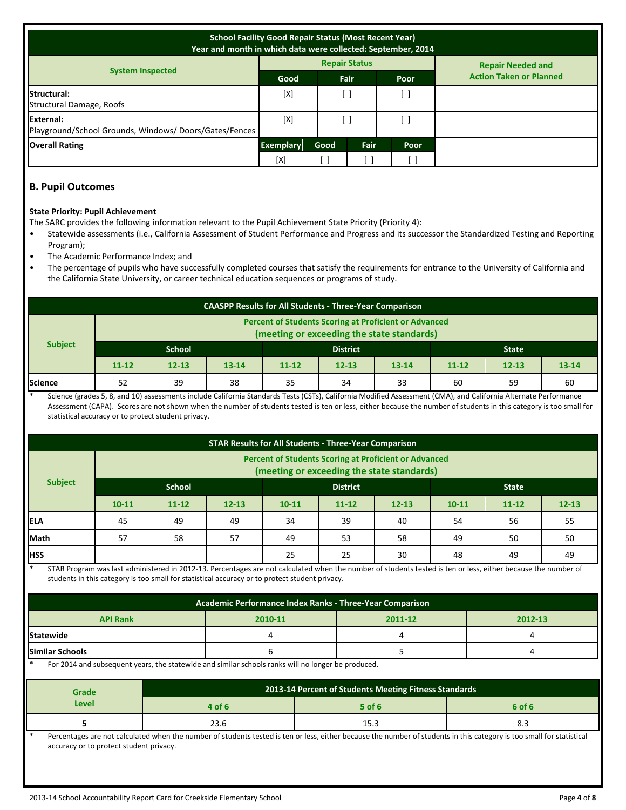| <b>School Facility Good Repair Status (Most Recent Year)</b><br>Year and month in which data were collected: September, 2014 |                  |      |                      |      |                                |  |
|------------------------------------------------------------------------------------------------------------------------------|------------------|------|----------------------|------|--------------------------------|--|
|                                                                                                                              |                  |      | <b>Repair Status</b> |      | <b>Repair Needed and</b>       |  |
| <b>System Inspected</b>                                                                                                      | Good             |      | Fair                 | Poor | <b>Action Taken or Planned</b> |  |
| Structural:<br>Structural Damage, Roofs                                                                                      | [X]              |      |                      |      |                                |  |
| External:<br>Playground/School Grounds, Windows/Doors/Gates/Fences                                                           | [X]              |      |                      |      |                                |  |
| <b>Overall Rating</b>                                                                                                        | <b>Exemplary</b> | Good | Fair<br>Poor         |      |                                |  |
|                                                                                                                              | [X]              |      |                      | L.   |                                |  |

## **B. Pupil Outcomes**

## **State Priority: Pupil Achievement**

The SARC provides the following information relevant to the Pupil Achievement State Priority (Priority 4):

- Statewide assessments (i.e., California Assessment of Student Performance and Progress and its successor the Standardized Testing and Reporting Program);
- The Academic Performance Index; and
- The percentage of pupils who have successfully completed courses that satisfy the requirements for entrance to the University of California and the California State University, or career technical education sequences or programs of study.

| <b>CAASPP Results for All Students - Three-Year Comparison</b>                                             |                                  |           |           |           |           |              |           |           |           |
|------------------------------------------------------------------------------------------------------------|----------------------------------|-----------|-----------|-----------|-----------|--------------|-----------|-----------|-----------|
| <b>Percent of Students Scoring at Proficient or Advanced</b><br>(meeting or exceeding the state standards) |                                  |           |           |           |           |              |           |           |           |
| <b>Subject</b>                                                                                             | <b>School</b><br><b>District</b> |           |           |           |           | <b>State</b> |           |           |           |
|                                                                                                            | $11 - 12$                        | $12 - 13$ | $13 - 14$ | $11 - 12$ | $12 - 13$ | $13 - 14$    | $11 - 12$ | $12 - 13$ | $13 - 14$ |
| <b>Science</b>                                                                                             | 52                               | 39        | 38        | 35        | 34        | 33           | 60        | 59        | 60        |

Science (grades 5, 8, and 10) assessments include California Standards Tests (CSTs), California Modified Assessment (CMA), and California Alternate Performance Assessment (CAPA). Scores are not shown when the number of students tested is ten or less, either because the number of students in this category is too small for statistical accuracy or to protect student privacy.

| <b>STAR Results for All Students - Three-Year Comparison</b>                                               |                           |           |           |           |           |              |           |           |           |
|------------------------------------------------------------------------------------------------------------|---------------------------|-----------|-----------|-----------|-----------|--------------|-----------|-----------|-----------|
| <b>Percent of Students Scoring at Proficient or Advanced</b><br>(meeting or exceeding the state standards) |                           |           |           |           |           |              |           |           |           |
| <b>Subject</b>                                                                                             | School<br><b>District</b> |           |           |           |           | <b>State</b> |           |           |           |
|                                                                                                            | $10 - 11$                 | $11 - 12$ | $12 - 13$ | $10 - 11$ | $11 - 12$ | $12 - 13$    | $10 - 11$ | $11 - 12$ | $12 - 13$ |
| lela                                                                                                       | 45                        | 49        | 49        | 34        | 39        | 40           | 54        | 56        | 55        |
| Math                                                                                                       | 57                        | 58        | 57        | 49        | 53        | 58           | 49        | 50        | 50        |
| <b>HSS</b>                                                                                                 |                           |           |           | 25        | 25        | 30           | 48        | 49        | 49        |

STAR Program was last administered in 2012-13. Percentages are not calculated when the number of students tested is ten or less, either because the number of students in this category is too small for statistical accuracy or to protect student privacy.

| Academic Performance Index Ranks - Three-Year Comparison |  |  |  |  |  |  |  |
|----------------------------------------------------------|--|--|--|--|--|--|--|
| <b>API Rank</b><br>2012-13<br>2010-11<br>2011-12         |  |  |  |  |  |  |  |
| Statewide                                                |  |  |  |  |  |  |  |
| <b>Similar Schools</b>                                   |  |  |  |  |  |  |  |

For 2014 and subsequent years, the statewide and similar schools ranks will no longer be produced.

| Grade | 2013-14 Percent of Students Meeting Fitness Standards |        |        |  |  |  |
|-------|-------------------------------------------------------|--------|--------|--|--|--|
| Level | 4 of 6                                                | 5 of 6 | 6 of 6 |  |  |  |
|       | 25.C                                                  | 15.3   | 0.0    |  |  |  |

Percentages are not calculated when the number of students tested is ten or less, either because the number of students in this category is too small for statistical accuracy or to protect student privacy.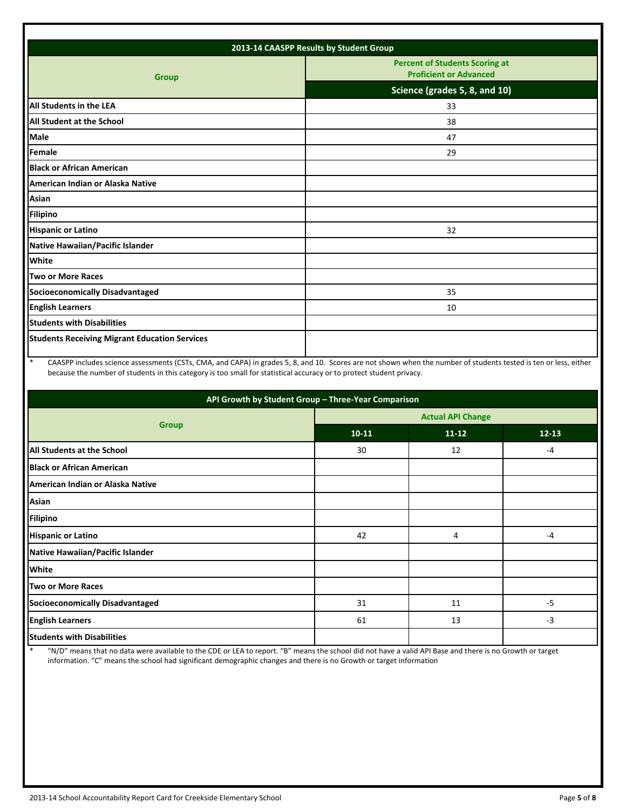| 2013-14 CAASPP Results by Student Group              |                                                                        |  |  |  |
|------------------------------------------------------|------------------------------------------------------------------------|--|--|--|
| <b>Group</b>                                         | <b>Percent of Students Scoring at</b><br><b>Proficient or Advanced</b> |  |  |  |
|                                                      | Science (grades 5, 8, and 10)                                          |  |  |  |
| All Students in the LEA                              | 33                                                                     |  |  |  |
| All Student at the School                            | 38                                                                     |  |  |  |
| <b>Male</b>                                          | 47                                                                     |  |  |  |
| Female                                               | 29                                                                     |  |  |  |
| <b>Black or African American</b>                     |                                                                        |  |  |  |
| American Indian or Alaska Native                     |                                                                        |  |  |  |
| Asian                                                |                                                                        |  |  |  |
| <b>Filipino</b>                                      |                                                                        |  |  |  |
| <b>Hispanic or Latino</b>                            | 32                                                                     |  |  |  |
| Native Hawaiian/Pacific Islander                     |                                                                        |  |  |  |
| White                                                |                                                                        |  |  |  |
| Two or More Races                                    |                                                                        |  |  |  |
| <b>Socioeconomically Disadvantaged</b>               | 35                                                                     |  |  |  |
| <b>English Learners</b>                              | 10                                                                     |  |  |  |
| <b>Students with Disabilities</b>                    |                                                                        |  |  |  |
| <b>Students Receiving Migrant Education Services</b> |                                                                        |  |  |  |
|                                                      |                                                                        |  |  |  |

\* CAASPP includes science assessments (CSTs, CMA, and CAPA) in grades 5, 8, and 10. Scores are not shown when the number of students tested is ten or less, either because the number of students in this category is too small for statistical accuracy or to protect student privacy.

| API Growth by Student Group - Three-Year Comparison |                          |           |           |  |  |  |
|-----------------------------------------------------|--------------------------|-----------|-----------|--|--|--|
| <b>Group</b>                                        | <b>Actual API Change</b> |           |           |  |  |  |
|                                                     | $10-11$                  | $11 - 12$ | $12 - 13$ |  |  |  |
| All Students at the School                          | 30                       | 12        | $-4$      |  |  |  |
| <b>Black or African American</b>                    |                          |           |           |  |  |  |
| American Indian or Alaska Native                    |                          |           |           |  |  |  |
| Asian                                               |                          |           |           |  |  |  |
| <b>Filipino</b>                                     |                          |           |           |  |  |  |
| <b>Hispanic or Latino</b>                           | 42                       | 4         | $-4$      |  |  |  |
| Native Hawaiian/Pacific Islander                    |                          |           |           |  |  |  |
| <b>White</b>                                        |                          |           |           |  |  |  |
| <b>Two or More Races</b>                            |                          |           |           |  |  |  |
| Socioeconomically Disadvantaged                     | 31                       | 11        | $-5$      |  |  |  |
| <b>English Learners</b>                             | 61                       | 13        | $-3$      |  |  |  |
| <b>Students with Disabilities</b>                   |                          |           |           |  |  |  |

\* "N/D" means that no data were available to the CDE or LEA to report. "B" means the school did not have a valid API Base and there is no Growth or target information. "C" means the school had significant demographic changes and there is no Growth or target information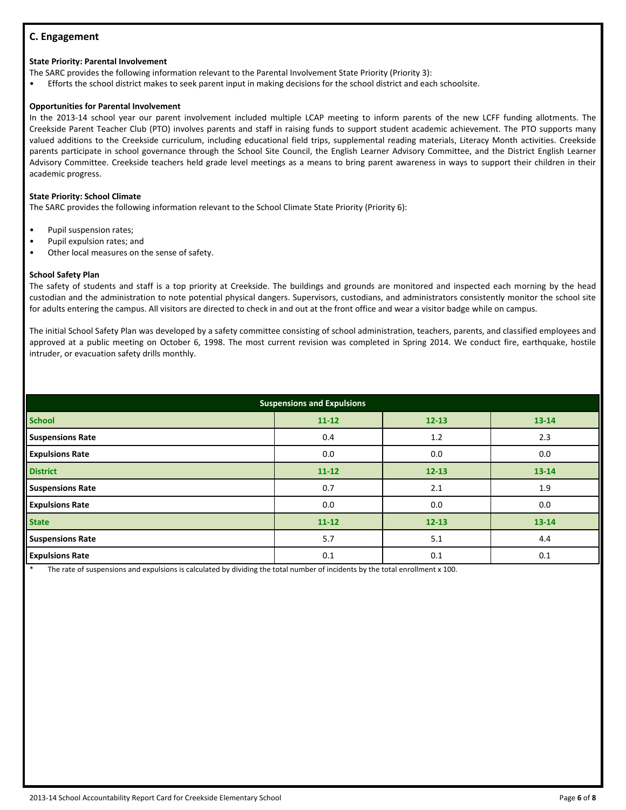## **C. Engagement**

#### **State Priority: Parental Involvement**

The SARC provides the following information relevant to the Parental Involvement State Priority (Priority 3):

• Efforts the school district makes to seek parent input in making decisions for the school district and each schoolsite.

#### **Opportunities for Parental Involvement**

In the 2013-14 school year our parent involvement included multiple LCAP meeting to inform parents of the new LCFF funding allotments. The Creekside Parent Teacher Club (PTO) involves parents and staff in raising funds to support student academic achievement. The PTO supports many valued additions to the Creekside curriculum, including educational field trips, supplemental reading materials, Literacy Month activities. Creekside parents participate in school governance through the School Site Council, the English Learner Advisory Committee, and the District English Learner Advisory Committee. Creekside teachers held grade level meetings as a means to bring parent awareness in ways to support their children in their academic progress.

#### **State Priority: School Climate**

The SARC provides the following information relevant to the School Climate State Priority (Priority 6):

- Pupil suspension rates;
- Pupil expulsion rates; and
- Other local measures on the sense of safety.

#### **School Safety Plan**

The safety of students and staff is a top priority at Creekside. The buildings and grounds are monitored and inspected each morning by the head custodian and the administration to note potential physical dangers. Supervisors, custodians, and administrators consistently monitor the school site for adults entering the campus. All visitors are directed to check in and out at the front office and wear a visitor badge while on campus.

The initial School Safety Plan was developed by a safety committee consisting of school administration, teachers, parents, and classified employees and approved at a public meeting on October 6, 1998. The most current revision was completed in Spring 2014. We conduct fire, earthquake, hostile intruder, or evacuation safety drills monthly.

| <b>Suspensions and Expulsions</b> |           |           |           |  |  |
|-----------------------------------|-----------|-----------|-----------|--|--|
| <b>School</b>                     | $11 - 12$ | $12 - 13$ | 13-14     |  |  |
| <b>Suspensions Rate</b>           | 0.4       | 1.2       | 2.3       |  |  |
| <b>Expulsions Rate</b>            | 0.0       | 0.0       | 0.0       |  |  |
| <b>District</b>                   | $11 - 12$ | $12 - 13$ | $13 - 14$ |  |  |
| <b>Suspensions Rate</b>           | 0.7       | 2.1       | 1.9       |  |  |
| <b>Expulsions Rate</b>            | 0.0       | 0.0       | 0.0       |  |  |
| <b>State</b>                      | $11 - 12$ | $12 - 13$ | 13-14     |  |  |
| <b>Suspensions Rate</b>           | 5.7       | 5.1       | 4.4       |  |  |
| <b>Expulsions Rate</b>            | 0.1       | 0.1       | 0.1       |  |  |

The rate of suspensions and expulsions is calculated by dividing the total number of incidents by the total enrollment x 100.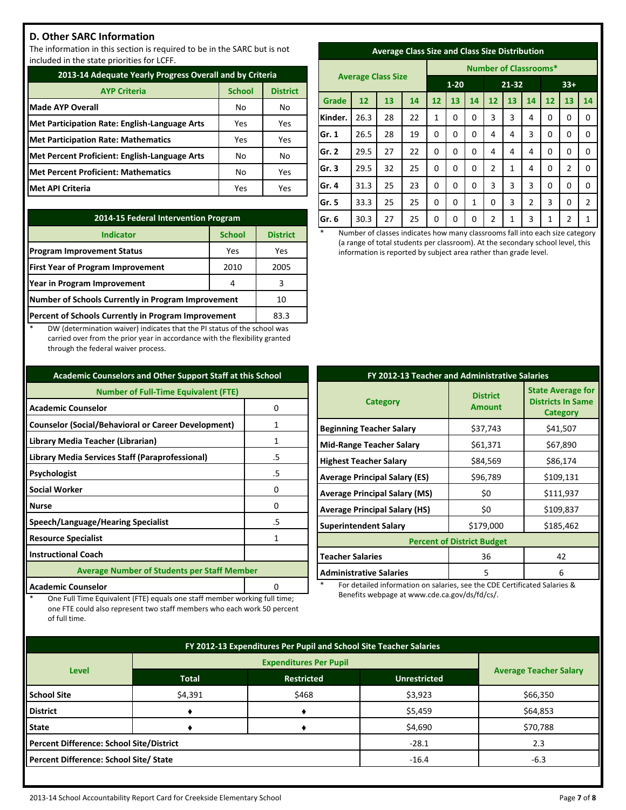## **D. Other SARC Information**

The information in this section is required to be in the SARC but is not included in the state priorities for LCFF.

| 2013-14 Adequate Yearly Progress Overall and by Criteria |               |                 |  |  |
|----------------------------------------------------------|---------------|-----------------|--|--|
| <b>AYP Criteria</b>                                      | <b>School</b> | <b>District</b> |  |  |
| <b>Made AYP Overall</b>                                  | No            | No.             |  |  |
| <b>Met Participation Rate: English-Language Arts</b>     | Yes           | Yes             |  |  |
| <b>Met Participation Rate: Mathematics</b>               | Yes           | Yes             |  |  |
| Met Percent Proficient: English-Language Arts            | No            | No              |  |  |
| <b>Met Percent Proficient: Mathematics</b>               | No            | Yes             |  |  |
| <b>Met API Criteria</b>                                  | Yes           | Yes             |  |  |

| 2014-15 Federal Intervention Program                |                 |      |  |  |
|-----------------------------------------------------|-----------------|------|--|--|
| <b>Indicator</b>                                    | <b>District</b> |      |  |  |
| <b>Program Improvement Status</b>                   | Yes             | Yes  |  |  |
| <b>First Year of Program Improvement</b>            | 2010            | 2005 |  |  |
| Year in Program Improvement                         | 4               | 3    |  |  |
| Number of Schools Currently in Program Improvement  | 10              |      |  |  |
| Percent of Schools Currently in Program Improvement | 83.3            |      |  |  |

DW (determination waiver) indicates that the PI status of the school was carried over from the prior year in accordance with the flexibility granted through the federal waiver process.

| <b>Academic Counselors and Other Support Staff at this School</b> |    |  |  |  |
|-------------------------------------------------------------------|----|--|--|--|
| <b>Number of Full-Time Equivalent (FTE)</b>                       |    |  |  |  |
| <b>Academic Counselor</b><br>0                                    |    |  |  |  |
| <b>Counselor (Social/Behavioral or Career Development)</b>        | 1  |  |  |  |
| Library Media Teacher (Librarian)                                 | 1  |  |  |  |
| Library Media Services Staff (Paraprofessional)                   | .5 |  |  |  |
| Psychologist                                                      | .5 |  |  |  |
| <b>Social Worker</b>                                              | 0  |  |  |  |
| <b>Nurse</b>                                                      | n  |  |  |  |
| Speech/Language/Hearing Specialist                                | .5 |  |  |  |
| <b>Resource Specialist</b>                                        | 1  |  |  |  |
| <b>Instructional Coach</b>                                        |    |  |  |  |
| <b>Average Number of Students per Staff Member</b>                |    |  |  |  |
| <b>Academic Counselor</b>                                         |    |  |  |  |

One Full Time Equivalent (FTE) equals one staff member working full time; one FTE could also represent two staff members who each work 50 percent

of full time.

| <b>Average Class Size and Class Size Distribution</b> |  |  |
|-------------------------------------------------------|--|--|
|                                                       |  |  |

|         |                           |    |    | <b>Number of Classrooms*</b> |    |           |                |    |                |    |                |                |
|---------|---------------------------|----|----|------------------------------|----|-----------|----------------|----|----------------|----|----------------|----------------|
|         | <b>Average Class Size</b> |    |    | $1 - 20$                     |    | $21 - 32$ |                |    | $33+$          |    |                |                |
| Grade   | 12 <sup>2</sup>           | 13 | 14 | 12                           | 13 | 14        | 12             | 13 | 14             | 12 | 13             | 14             |
| Kinder. | 26.3                      | 28 | 22 | 1                            | 0  | 0         | 3              | 3  | 4              | 0  | 0              | 0              |
| Gr. 1   | 26.5                      | 28 | 19 | 0                            | 0  | 0         | 4              | 4  | 3              | 0  | 0              | 0              |
| Gr. 2   | 29.5                      | 27 | 22 | 0                            | 0  | 0         | 4              | 4  | 4              | 0  | 0              | $\Omega$       |
| Gr. 3   | 29.5                      | 32 | 25 | 0                            | 0  | 0         | $\overline{2}$ | 1  | 4              | 0  | $\overline{2}$ | 0              |
| Gr. 4   | 31.3                      | 25 | 23 | 0                            | 0  | 0         | 3              | 3  | 3              | 0  | 0              | 0              |
| Gr. 5   | 33.3                      | 25 | 25 | 0                            | 0  | 1         | 0              | 3  | $\overline{2}$ | 3  | 0              | $\overline{2}$ |
| Gr. 6   | 30.3                      | 27 | 25 | 0                            | 0  | 0         | 2              | 1  | 3              | 1  | 2              | 1              |

Number of classes indicates how many classrooms fall into each size category (a range of total students per classroom). At the secondary school level, this information is reported by subject area rather than grade level.

| FY 2012-13 Teacher and Administrative Salaries |                                  |                                                                         |  |  |  |
|------------------------------------------------|----------------------------------|-------------------------------------------------------------------------|--|--|--|
| <b>Category</b>                                | <b>District</b><br><b>Amount</b> | <b>State Average for</b><br><b>Districts In Same</b><br><b>Category</b> |  |  |  |
| <b>Beginning Teacher Salary</b>                | \$37,743                         | \$41,507                                                                |  |  |  |
| <b>Mid-Range Teacher Salary</b>                | \$61,371                         | \$67,890                                                                |  |  |  |
| <b>Highest Teacher Salary</b>                  | \$84,569                         | \$86,174                                                                |  |  |  |
| <b>Average Principal Salary (ES)</b>           | \$96,789                         | \$109,131                                                               |  |  |  |
| <b>Average Principal Salary (MS)</b>           | \$0                              | \$111,937                                                               |  |  |  |
| <b>Average Principal Salary (HS)</b>           | \$0                              | \$109,837                                                               |  |  |  |
| <b>Superintendent Salary</b>                   | \$179,000                        | \$185,462                                                               |  |  |  |
| <b>Percent of District Budget</b>              |                                  |                                                                         |  |  |  |
| <b>Teacher Salaries</b>                        | 36                               | 42                                                                      |  |  |  |
| <b>Administrative Salaries</b>                 | 5                                | 6                                                                       |  |  |  |

For detailed information on salaries, see the CDE Certificated Salaries & Benefits webpage at www.cde.ca.gov/ds/fd/cs/.

| FY 2012-13 Expenditures Per Pupil and School Site Teacher Salaries |                                                                          |       |         |          |  |  |
|--------------------------------------------------------------------|--------------------------------------------------------------------------|-------|---------|----------|--|--|
|                                                                    | <b>Average Teacher Salary</b>                                            |       |         |          |  |  |
|                                                                    | <b>Level</b><br><b>Restricted</b><br><b>Total</b><br><b>Unrestricted</b> |       |         |          |  |  |
| <b>School Site</b>                                                 | \$4,391                                                                  | \$468 | \$3,923 | \$66,350 |  |  |
| <b>District</b>                                                    |                                                                          |       | \$5,459 | \$64,853 |  |  |
| <b>State</b>                                                       |                                                                          |       | \$4,690 | \$70,788 |  |  |
| <b>Percent Difference: School Site/District</b>                    |                                                                          |       | $-28.1$ | 2.3      |  |  |
| Percent Difference: School Site/ State                             |                                                                          |       | $-16.4$ | $-6.3$   |  |  |